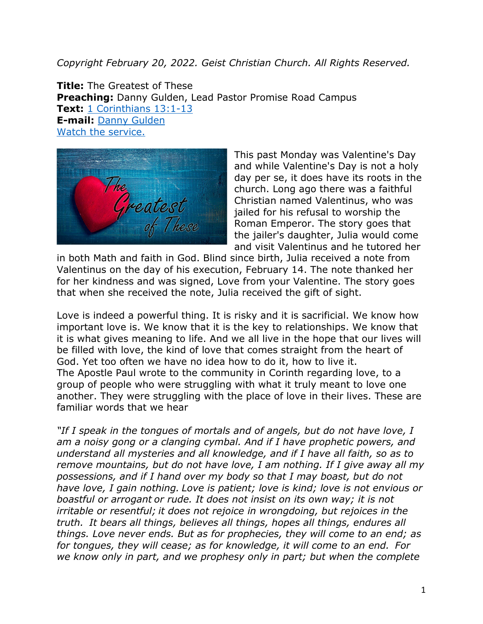## *Copyright February 20, 2022. Geist Christian Church. All Rights Reserved.*

**Title:** The Greatest of These **Preaching:** Danny Gulden, Lead Pastor Promise Road Campus **Text:** [1 Corinthians 13:1-13](https://www.biblegateway.com/passage/?search=1+Corinthians+13%3A1-13&version=NRSV) **E-mail:** [Danny Gulden](mailto:danny.gulden@geistchristian.org) [Watch the service.](https://youtu.be/PdsVGA0nd78)



This past Monday was Valentine's Day and while Valentine's Day is not a holy day per se, it does have its roots in the church. Long ago there was a faithful Christian named Valentinus, who was jailed for his refusal to worship the Roman Emperor. The story goes that the jailer's daughter, Julia would come and visit Valentinus and he tutored her

in both Math and faith in God. Blind since birth, Julia received a note from Valentinus on the day of his execution, February 14. The note thanked her for her kindness and was signed, Love from your Valentine. The story goes that when she received the note, Julia received the gift of sight.

Love is indeed a powerful thing. It is risky and it is sacrificial. We know how important love is. We know that it is the key to relationships. We know that it is what gives meaning to life. And we all live in the hope that our lives will be filled with love, the kind of love that comes straight from the heart of God. Yet too often we have no idea how to do it, how to live it. The Apostle Paul wrote to the community in Corinth regarding love, to a group of people who were struggling with what it truly meant to love one another. They were struggling with the place of love in their lives. These are familiar words that we hear

*"If I speak in the tongues of mortals and of angels, but do not have love, I am a noisy gong or a clanging cymbal. And if I have prophetic powers, and understand all mysteries and all knowledge, and if I have all faith, so as to remove mountains, but do not have love, I am nothing. If I give away all my possessions, and if I hand over my body so that I may boast, but do not have love, I gain nothing. Love is patient; love is kind; love is not envious or boastful or arrogant or rude. It does not insist on its own way; it is not irritable or resentful; it does not rejoice in wrongdoing, but rejoices in the truth. It bears all things, believes all things, hopes all things, endures all things. Love never ends. But as for prophecies, they will come to an end; as for tongues, they will cease; as for knowledge, it will come to an end. For we know only in part, and we prophesy only in part; but when the complete*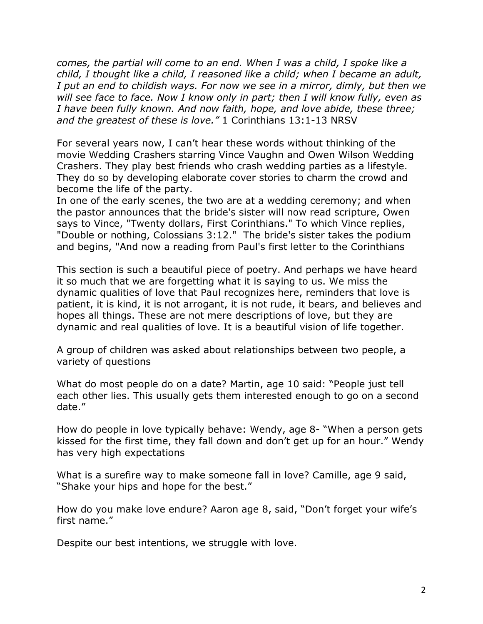*comes, the partial will come to an end. When I was a child, I spoke like a child, I thought like a child, I reasoned like a child; when I became an adult, I put an end to childish ways. For now we see in a mirror, dimly, but then we will see face to face. Now I know only in part; then I will know fully, even as I have been fully known. And now faith, hope, and love abide, these three; and the greatest of these is love."* 1 Corinthians 13:1-13 NRSV

For several years now, I can't hear these words without thinking of the movie Wedding Crashers starring Vince Vaughn and Owen Wilson Wedding Crashers. They play best friends who crash wedding parties as a lifestyle. They do so by developing elaborate cover stories to charm the crowd and become the life of the party.

In one of the early scenes, the two are at a wedding ceremony; and when the pastor announces that the bride's sister will now read scripture, Owen says to Vince, "Twenty dollars, First Corinthians." To which Vince replies, "Double or nothing, Colossians 3:12." The bride's sister takes the podium and begins, "And now a reading from Paul's first letter to the Corinthians

This section is such a beautiful piece of poetry. And perhaps we have heard it so much that we are forgetting what it is saying to us. We miss the dynamic qualities of love that Paul recognizes here, reminders that love is patient, it is kind, it is not arrogant, it is not rude, it bears, and believes and hopes all things. These are not mere descriptions of love, but they are dynamic and real qualities of love. It is a beautiful vision of life together.

A group of children was asked about relationships between two people, a variety of questions

What do most people do on a date? Martin, age 10 said: "People just tell each other lies. This usually gets them interested enough to go on a second date."

How do people in love typically behave: Wendy, age 8- "When a person gets kissed for the first time, they fall down and don't get up for an hour." Wendy has very high expectations

What is a surefire way to make someone fall in love? Camille, age 9 said, "Shake your hips and hope for the best."

How do you make love endure? Aaron age 8, said, "Don't forget your wife's first name."

Despite our best intentions, we struggle with love.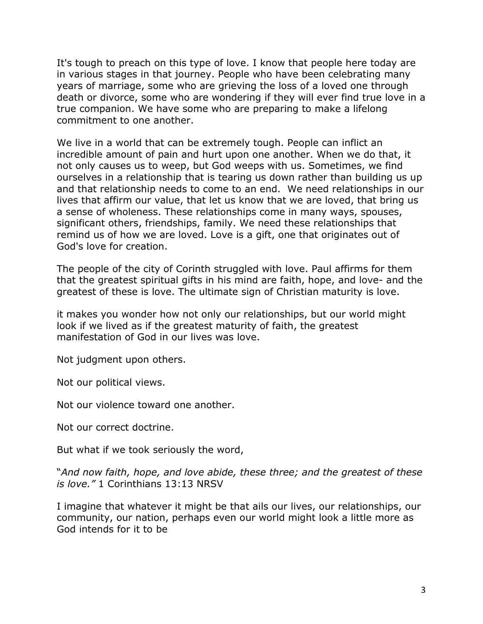It's tough to preach on this type of love. I know that people here today are in various stages in that journey. People who have been celebrating many years of marriage, some who are grieving the loss of a loved one through death or divorce, some who are wondering if they will ever find true love in a true companion. We have some who are preparing to make a lifelong commitment to one another.

We live in a world that can be extremely tough. People can inflict an incredible amount of pain and hurt upon one another. When we do that, it not only causes us to weep, but God weeps with us. Sometimes, we find ourselves in a relationship that is tearing us down rather than building us up and that relationship needs to come to an end. We need relationships in our lives that affirm our value, that let us know that we are loved, that bring us a sense of wholeness. These relationships come in many ways, spouses, significant others, friendships, family. We need these relationships that remind us of how we are loved. Love is a gift, one that originates out of God's love for creation.

The people of the city of Corinth struggled with love. Paul affirms for them that the greatest spiritual gifts in his mind are faith, hope, and love- and the greatest of these is love. The ultimate sign of Christian maturity is love.

it makes you wonder how not only our relationships, but our world might look if we lived as if the greatest maturity of faith, the greatest manifestation of God in our lives was love.

Not judgment upon others.

Not our political views.

Not our violence toward one another.

Not our correct doctrine.

But what if we took seriously the word,

"*And now faith, hope, and love abide, these three; and the greatest of these is love."* 1 Corinthians 13:13 NRSV

I imagine that whatever it might be that ails our lives, our relationships, our community, our nation, perhaps even our world might look a little more as God intends for it to be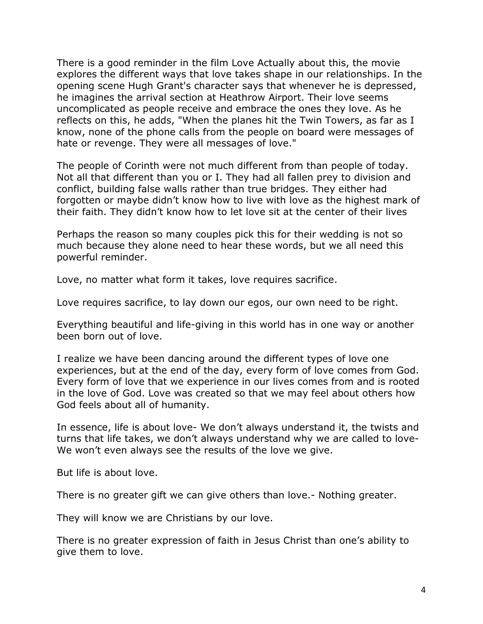There is a good reminder in the film Love Actually about this, the movie explores the different ways that love takes shape in our relationships. In the opening scene Hugh Grant's character says that whenever he is depressed, he imagines the arrival section at Heathrow Airport. Their love seems uncomplicated as people receive and embrace the ones they love. As he reflects on this, he adds, "When the planes hit the Twin Towers, as far as I know, none of the phone calls from the people on board were messages of hate or revenge. They were all messages of love."

The people of Corinth were not much different from than people of today. Not all that different than you or I. They had all fallen prey to division and conflict, building false walls rather than true bridges. They either had forgotten or maybe didn't know how to live with love as the highest mark of their faith. They didn't know how to let love sit at the center of their lives

Perhaps the reason so many couples pick this for their wedding is not so much because they alone need to hear these words, but we all need this powerful reminder.

Love, no matter what form it takes, love requires sacrifice.

Love requires sacrifice, to lay down our egos, our own need to be right.

Everything beautiful and life-giving in this world has in one way or another been born out of love.

I realize we have been dancing around the different types of love one experiences, but at the end of the day, every form of love comes from God. Every form of love that we experience in our lives comes from and is rooted in the love of God. Love was created so that we may feel about others how God feels about all of humanity.

In essence, life is about love- We don't always understand it, the twists and turns that life takes, we don't always understand why we are called to love-We won't even always see the results of the love we give.

But life is about love.

There is no greater gift we can give others than love.- Nothing greater.

They will know we are Christians by our love.

There is no greater expression of faith in Jesus Christ than one's ability to give them to love.